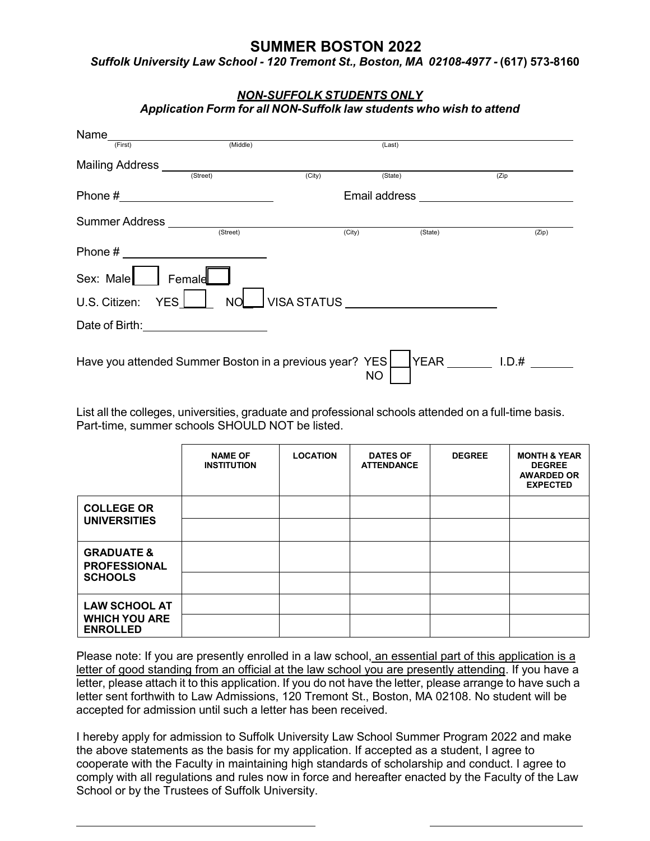# **SUMMER BOSTON 2022**

*Suffolk University Law School - 120 Tremont St., Boston, MA 02108-4977 -* **(617) 573-8160** 

| Name_<br>(First)                                                                                               | (Middle)       |                                          | (Last)  |         |       |
|----------------------------------------------------------------------------------------------------------------|----------------|------------------------------------------|---------|---------|-------|
| Mailing Address <b>Call Address</b> (Street)                                                                   |                | (City)                                   | (State) |         | (Zip) |
|                                                                                                                |                |                                          |         |         |       |
| Summer Address                                                                                                 | (Street)       | (City)                                   |         | (State) | (Zip) |
| Phone # 2008 and 2008 and 2008 and 2008 and 2008 and 2008 and 2008 and 2008 and 2008 and 2008 and 2008 and 200 |                |                                          |         |         |       |
| Sex: Male   Female                                                                                             |                |                                          |         |         |       |
| U.S. Citizen:                                                                                                  | YES <i>L</i> L | NOU VISA STATUS UNIVERSITY OF THE STATUS |         |         |       |
| Date of Birth: <u>contained</u>                                                                                |                |                                          |         |         |       |

 List all the colleges, universities, graduate and professional schools attended on a full-time basis. Part-time, summer schools SHOULD NOT be listed.

|                                              | <b>NAME OF</b><br><b>INSTITUTION</b> | <b>LOCATION</b> | <b>DATES OF</b><br><b>ATTENDANCE</b> | <b>DEGREE</b> | <b>MONTH &amp; YEAR</b><br><b>DEGREE</b><br><b>AWARDED OR</b><br><b>EXPECTED</b> |
|----------------------------------------------|--------------------------------------|-----------------|--------------------------------------|---------------|----------------------------------------------------------------------------------|
| <b>COLLEGE OR</b><br><b>UNIVERSITIES</b>     |                                      |                 |                                      |               |                                                                                  |
|                                              |                                      |                 |                                      |               |                                                                                  |
| <b>GRADUATE &amp;</b><br><b>PROFESSIONAL</b> |                                      |                 |                                      |               |                                                                                  |
| <b>SCHOOLS</b>                               |                                      |                 |                                      |               |                                                                                  |
| <b>LAW SCHOOL AT</b>                         |                                      |                 |                                      |               |                                                                                  |
| <b>WHICH YOU ARE</b><br><b>ENROLLED</b>      |                                      |                 |                                      |               |                                                                                  |

 letter, please attach it to this application. If you do not have the letter, please arrange to have such a accepted for admission until such a letter has been received. Please note: If you are presently enrolled in a law school, an essential part of this application is a letter of good standing from an official at the law school you are presently attending. If you have a letter sent forthwith to Law Admissions, 120 Tremont St., Boston, MA 02108. No student will be

 I hereby apply for admission to Suffolk University Law School Summer Program 2022 and make comply with all regulations and rules now in force and hereafter enacted by the Faculty of the Law School or by the Trustees of Suffolk University. the above statements as the basis for my application. If accepted as a student, I agree to cooperate with the Faculty in maintaining high standards of scholarship and conduct. I agree to

#### *NON-SUFFOLK STUDENTS ONLY Application Form for all NON-Suffolk law students who wish to attend*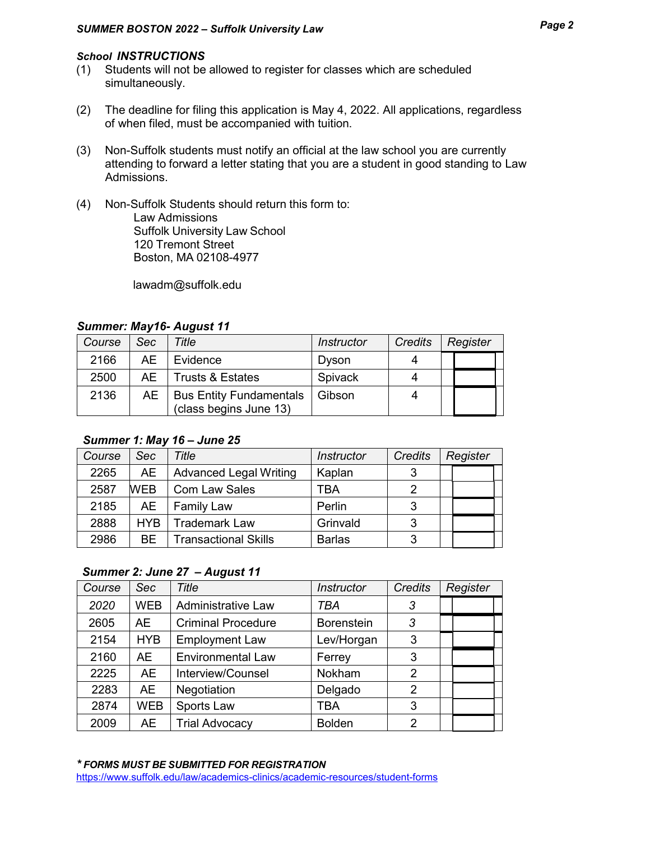### *School INSTRUCTIONS*

- (1) Students will not be allowed to register for classes which are scheduled simultaneously.
- of when filed, must be accompanied with tuition. (2) The deadline for filing this application is May 4, 2022. All applications, regardless
- attending to forward a letter stating that you are a student in good standing to Law (3) Non-Suffolk students must notify an official at the law school you are currently Admissions.
- (4) Non-Suffolk Students should return this form to: Suffolk University Law School 120 Tremont Street Boston, MA 02108-4977 Law Admissions

[lawadm@suffolk.edu](mailto:lawadm@suffolk.edu) 

| Course | <b>Sec</b> | Title                                                    | <b>Instructor</b> | Credits | Register |  |
|--------|------------|----------------------------------------------------------|-------------------|---------|----------|--|
| 2166   | AE         | Evidence                                                 | Dyson             |         |          |  |
| 2500   |            | AE   Trusts & Estates                                    | Spivack           |         |          |  |
| 2136   | AE         | <b>Bus Entity Fundamentals</b><br>(class begins June 13) | Gibson            |         |          |  |

#### *Summer: May16- August 11*

## *Summer 1: May 16 – June 25*

| Course | Sec        | Title                         | <b>Instructor</b> | <b>Credits</b> | Register |
|--------|------------|-------------------------------|-------------------|----------------|----------|
| 2265   | <b>AE</b>  | <b>Advanced Legal Writing</b> | Kaplan            | っ              |          |
| 2587   | <b>WEB</b> | <b>Com Law Sales</b>          | TBA               |                |          |
| 2185   | AE.        | <b>Family Law</b>             | Perlin            | 3              |          |
| 2888   | <b>HYB</b> | <b>Trademark Law</b>          | Grinvald          | વ              |          |
| 2986   | BE.        | <b>Transactional Skills</b>   | <b>Barlas</b>     | 2              |          |

### *Summer 2: June 27 – August 11*

| Course | Sec        | Title                     | Instructor        | <b>Credits</b> | Register |
|--------|------------|---------------------------|-------------------|----------------|----------|
| 2020   | <b>WEB</b> | Administrative Law        | TBA               | 3              |          |
| 2605   | <b>AE</b>  | <b>Criminal Procedure</b> | <b>Borenstein</b> | 3              |          |
| 2154   | <b>HYB</b> | <b>Employment Law</b>     | Lev/Horgan        | 3              |          |
| 2160   | AE         | <b>Environmental Law</b>  | Ferrey            | 3              |          |
| 2225   | <b>AE</b>  | Interview/Counsel         | Nokham            | 2              |          |
| 2283   | <b>AE</b>  | Negotiation               | Delgado           | 2              |          |
| 2874   | <b>WEB</b> | Sports Law                | TBA               | 3              |          |
| 2009   | AE         | <b>Trial Advocacy</b>     | <b>Bolden</b>     | 2              |          |

<https://www.suffolk.edu/law/academics-clinics/academic-resources/student-forms>